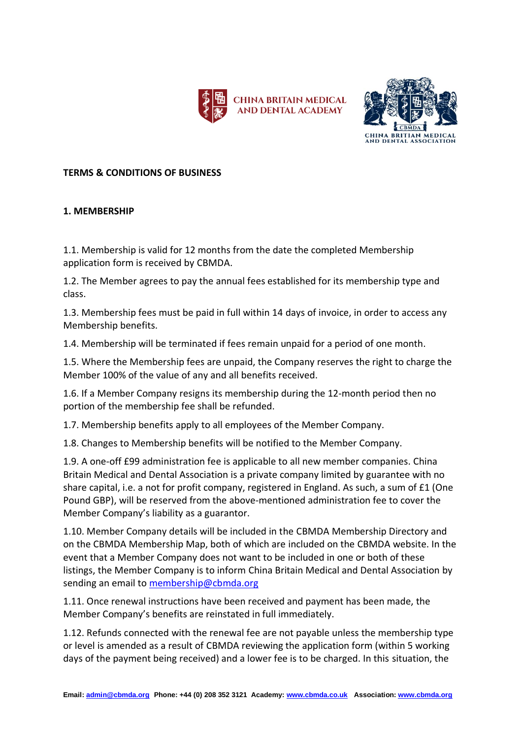



## **TERMS & CONDITIONS OF BUSINESS**

## **1. MEMBERSHIP**

1.1. Membership is valid for 12 months from the date the completed Membership application form is received by CBMDA.

1.2. The Member agrees to pay the annual fees established for its membership type and class.

1.3. Membership fees must be paid in full within 14 days of invoice, in order to access any Membership benefits.

1.4. Membership will be terminated if fees remain unpaid for a period of one month.

1.5. Where the Membership fees are unpaid, the Company reserves the right to charge the Member 100% of the value of any and all benefits received.

1.6. If a Member Company resigns its membership during the 12-month period then no portion of the membership fee shall be refunded.

1.7. Membership benefits apply to all employees of the Member Company.

1.8. Changes to Membership benefits will be notified to the Member Company.

1.9. A one-off £99 administration fee is applicable to all new member companies. China Britain Medical and Dental Association is a private company limited by guarantee with no share capital, i.e. a not for profit company, registered in England. As such, a sum of £1 (One Pound GBP), will be reserved from the above-mentioned administration fee to cover the Member Company's liability as a guarantor.

1.10. Member Company details will be included in the CBMDA Membership Directory and on the CBMDA Membership Map, both of which are included on the CBMDA website. In the event that a Member Company does not want to be included in one or both of these listings, the Member Company is to inform China Britain Medical and Dental Association by sending an email to [membership@cbmda.org](mailto:membership@cbmda.org)

1.11. Once renewal instructions have been received and payment has been made, the Member Company's benefits are reinstated in full immediately.

1.12. Refunds connected with the renewal fee are not payable unless the membership type or level is amended as a result of CBMDA reviewing the application form (within 5 working days of the payment being received) and a lower fee is to be charged. In this situation, the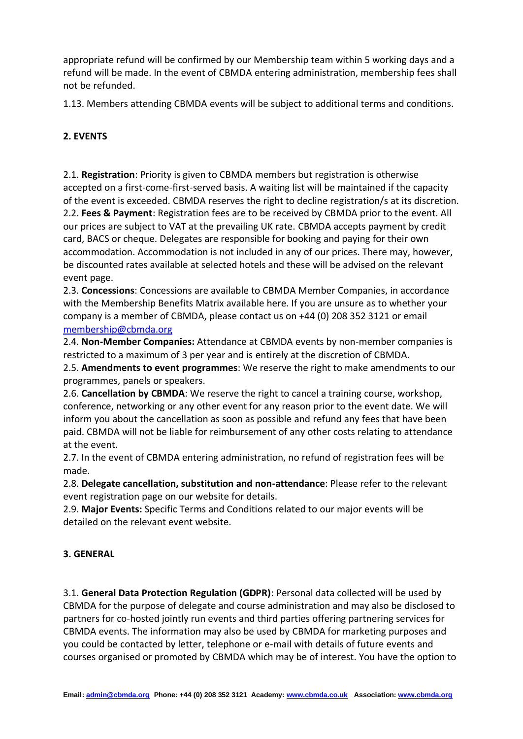appropriate refund will be confirmed by our Membership team within 5 working days and a refund will be made. In the event of CBMDA entering administration, membership fees shall not be refunded.

1.13. Members attending CBMDA events will be subject to additional terms and conditions.

## **2. EVENTS**

2.1. **Registration**: Priority is given to CBMDA members but registration is otherwise accepted on a first-come-first-served basis. A waiting list will be maintained if the capacity of the event is exceeded. CBMDA reserves the right to decline registration/s at its discretion. 2.2. **Fees & Payment**: Registration fees are to be received by CBMDA prior to the event. All our prices are subject to VAT at the prevailing UK rate. CBMDA accepts payment by credit card, BACS or cheque. Delegates are responsible for booking and paying for their own accommodation. Accommodation is not included in any of our prices. There may, however, be discounted rates available at selected hotels and these will be advised on the relevant event page.

2.3. **Concessions**: Concessions are available to CBMDA Member Companies, in accordance with the Membership Benefits Matrix available here. If you are unsure as to whether your company is a member of CBMDA, please contact us on +44 (0) 208 352 3121 or email [membership@cbmda.org](mailto:membership@cbmda.org)

2.4. **Non-Member Companies:** Attendance at CBMDA events by non-member companies is restricted to a maximum of 3 per year and is entirely at the discretion of CBMDA.

2.5. **Amendments to event programmes**: We reserve the right to make amendments to our programmes, panels or speakers.

2.6. **Cancellation by CBMDA**: We reserve the right to cancel a training course, workshop, conference, networking or any other event for any reason prior to the event date. We will inform you about the cancellation as soon as possible and refund any fees that have been paid. CBMDA will not be liable for reimbursement of any other costs relating to attendance at the event.

2.7. In the event of CBMDA entering administration, no refund of registration fees will be made.

2.8. **Delegate cancellation, substitution and non-attendance**: Please refer to the relevant event registration page on our website for details.

2.9. **Major Events:** Specific Terms and Conditions related to our major events will be detailed on the relevant event website.

## **3. GENERAL**

3.1. **General Data Protection Regulation (GDPR)**: Personal data collected will be used by CBMDA for the purpose of delegate and course administration and may also be disclosed to partners for co-hosted jointly run events and third parties offering partnering services for CBMDA events. The information may also be used by CBMDA for marketing purposes and you could be contacted by letter, telephone or e-mail with details of future events and courses organised or promoted by CBMDA which may be of interest. You have the option to